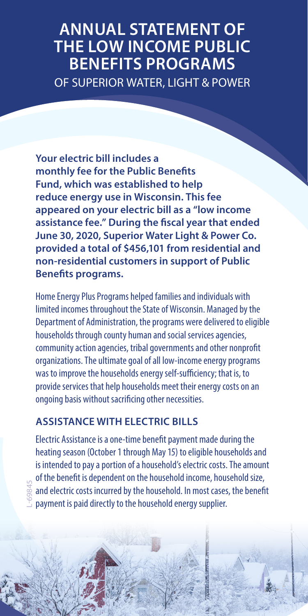# **ANNUAL STATEMENT OF THE LOW INCOME PUBLIC BENEFITS PROGRAMS** OF SUPERIOR WATER, LIGHT & POWER

**Your electric bill includes a monthly fee for the Public Benefits Fund, which was established to help reduce energy use in Wisconsin. This fee appeared on your electric bill as a "low income assistance fee." During the fiscal year that ended June 30, 2020, Superior Water Light & Power Co. provided a total of \$456,101 from residential and non-residential customers in support of Public Benefits programs.**

Home Energy Plus Programs helped families and individuals with limited incomes throughout the State of Wisconsin. Managed by the Department of Administration, the programs were delivered to eligible households through county human and social services agencies, community action agencies, tribal governments and other nonprofit organizations. The ultimate goal of all low-income energy programs was to improve the households energy self-sufficiency; that is, to provide services that help households meet their energy costs on an ongoing basis without sacrificing other necessities.

## **ASSISTANCE WITH ELECTRIC BILLS**

L-69845

Electric Assistance is a one-time benefit payment made during the heating season (October 1 through May 15) to eligible households and is intended to pay a portion of a household's electric costs. The amount of the benefit is dependent on the household income, household size, and electric costs incurred by the household. In most cases, the benefit payment is paid directly to the household energy supplier.